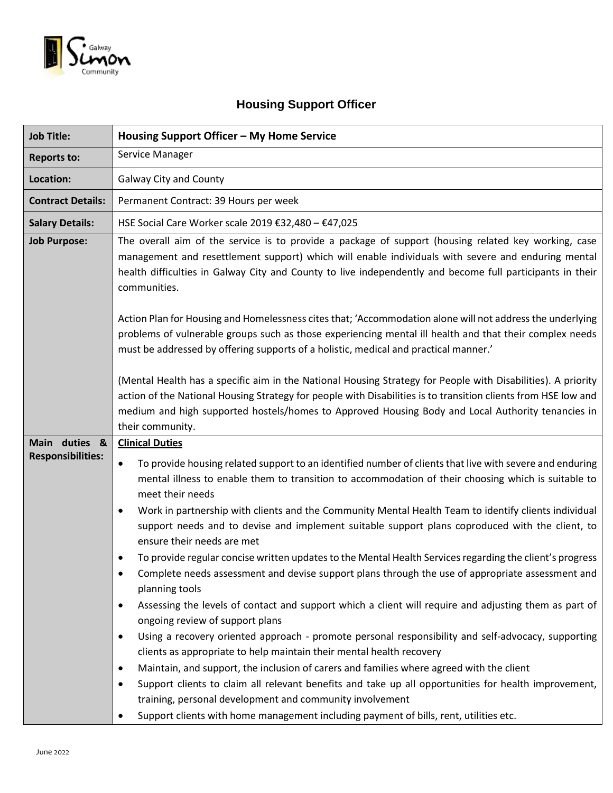

# **Housing Support Officer**

| Housing Support Officer - My Home Service                                                                                                                                                                                                                                                                                                                                                                                                                                                                                                                                                                                                                                                                                                                                                                                                                                                                                                                                                                                                                                                                                                                                                                                                                                                                                                                                                           |
|-----------------------------------------------------------------------------------------------------------------------------------------------------------------------------------------------------------------------------------------------------------------------------------------------------------------------------------------------------------------------------------------------------------------------------------------------------------------------------------------------------------------------------------------------------------------------------------------------------------------------------------------------------------------------------------------------------------------------------------------------------------------------------------------------------------------------------------------------------------------------------------------------------------------------------------------------------------------------------------------------------------------------------------------------------------------------------------------------------------------------------------------------------------------------------------------------------------------------------------------------------------------------------------------------------------------------------------------------------------------------------------------------------|
| Service Manager                                                                                                                                                                                                                                                                                                                                                                                                                                                                                                                                                                                                                                                                                                                                                                                                                                                                                                                                                                                                                                                                                                                                                                                                                                                                                                                                                                                     |
| <b>Galway City and County</b>                                                                                                                                                                                                                                                                                                                                                                                                                                                                                                                                                                                                                                                                                                                                                                                                                                                                                                                                                                                                                                                                                                                                                                                                                                                                                                                                                                       |
| Permanent Contract: 39 Hours per week                                                                                                                                                                                                                                                                                                                                                                                                                                                                                                                                                                                                                                                                                                                                                                                                                                                                                                                                                                                                                                                                                                                                                                                                                                                                                                                                                               |
| HSE Social Care Worker scale 2019 €32,480 - €47,025                                                                                                                                                                                                                                                                                                                                                                                                                                                                                                                                                                                                                                                                                                                                                                                                                                                                                                                                                                                                                                                                                                                                                                                                                                                                                                                                                 |
| The overall aim of the service is to provide a package of support (housing related key working, case<br>management and resettlement support) which will enable individuals with severe and enduring mental<br>health difficulties in Galway City and County to live independently and become full participants in their<br>communities.                                                                                                                                                                                                                                                                                                                                                                                                                                                                                                                                                                                                                                                                                                                                                                                                                                                                                                                                                                                                                                                             |
| Action Plan for Housing and Homelessness cites that; 'Accommodation alone will not address the underlying<br>problems of vulnerable groups such as those experiencing mental ill health and that their complex needs<br>must be addressed by offering supports of a holistic, medical and practical manner.'                                                                                                                                                                                                                                                                                                                                                                                                                                                                                                                                                                                                                                                                                                                                                                                                                                                                                                                                                                                                                                                                                        |
| (Mental Health has a specific aim in the National Housing Strategy for People with Disabilities). A priority<br>action of the National Housing Strategy for people with Disabilities is to transition clients from HSE low and<br>medium and high supported hostels/homes to Approved Housing Body and Local Authority tenancies in<br>their community.                                                                                                                                                                                                                                                                                                                                                                                                                                                                                                                                                                                                                                                                                                                                                                                                                                                                                                                                                                                                                                             |
| <b>Clinical Duties</b><br>To provide housing related support to an identified number of clients that live with severe and enduring<br>$\bullet$<br>mental illness to enable them to transition to accommodation of their choosing which is suitable to<br>meet their needs<br>Work in partnership with clients and the Community Mental Health Team to identify clients individual<br>$\bullet$<br>support needs and to devise and implement suitable support plans coproduced with the client, to<br>ensure their needs are met<br>To provide regular concise written updates to the Mental Health Services regarding the client's progress<br>Complete needs assessment and devise support plans through the use of appropriate assessment and<br>planning tools<br>Assessing the levels of contact and support which a client will require and adjusting them as part of<br>$\bullet$<br>ongoing review of support plans<br>Using a recovery oriented approach - promote personal responsibility and self-advocacy, supporting<br>$\bullet$<br>clients as appropriate to help maintain their mental health recovery<br>Maintain, and support, the inclusion of carers and families where agreed with the client<br>$\bullet$<br>Support clients to claim all relevant benefits and take up all opportunities for health improvement,<br>training, personal development and community involvement |
|                                                                                                                                                                                                                                                                                                                                                                                                                                                                                                                                                                                                                                                                                                                                                                                                                                                                                                                                                                                                                                                                                                                                                                                                                                                                                                                                                                                                     |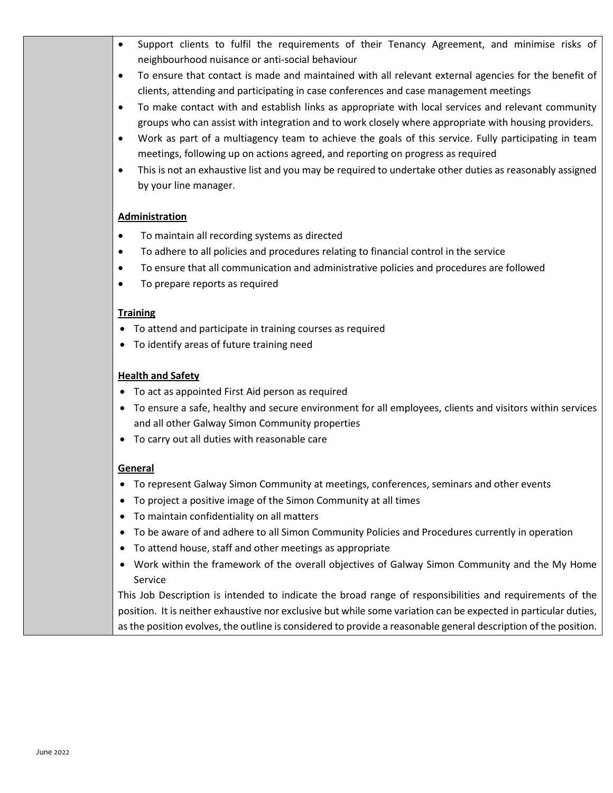- Support clients to fulfil the requirements of their Tenancy Agreement, and minimise risks of neighbourhood nuisance or anti-social behaviour
- To ensure that contact is made and maintained with all relevant external agencies for the benefit of clients, attending and participating in case conferences and case management meetings
- To make contact with and establish links as appropriate with local services and relevant community groups who can assist with integration and to work closely where appropriate with housing providers.
- Work as part of a multiagency team to achieve the goals of this service. Fully participating in team meetings, following up on actions agreed, and reporting on progress as required
- This is not an exhaustive list and you may be required to undertake other duties as reasonably assigned by your line manager.

### **Administration**

- To maintain all recording systems as directed
- To adhere to all policies and procedures relating to financial control in the service
- To ensure that all communication and administrative policies and procedures are followed
- To prepare reports as required

### **Training**

- To attend and participate in training courses as required
- To identify areas of future training need

### **Health and Safety**

- To act as appointed First Aid person as required
- To ensure a safe, healthy and secure environment for all employees, clients and visitors within services and all other Galway Simon Community properties
- To carry out all duties with reasonable care

## **General**

- To represent Galway Simon Community at meetings, conferences, seminars and other events
- To project a positive image of the Simon Community at all times
- To maintain confidentiality on all matters
- To be aware of and adhere to all Simon Community Policies and Procedures currently in operation
- To attend house, staff and other meetings as appropriate
- Work within the framework of the overall objectives of Galway Simon Community and the My Home Service

This Job Description is intended to indicate the broad range of responsibilities and requirements of the position. It is neither exhaustive nor exclusive but while some variation can be expected in particular duties, as the position evolves, the outline is considered to provide a reasonable general description of the position.